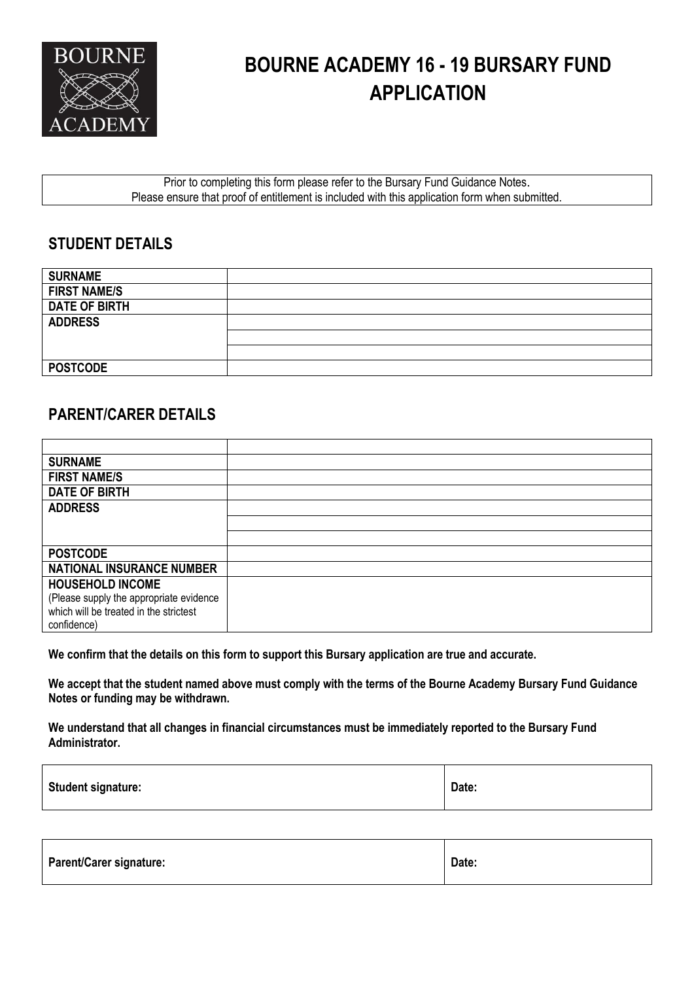

# **BOURNE ACADEMY 16 - 19 BURSARY FUND APPLICATION**

Prior to completing this form please refer to the Bursary Fund Guidance Notes. Please ensure that proof of entitlement is included with this application form when submitted.

#### **STUDENT DETAILS**

| <b>SURNAME</b>       |  |
|----------------------|--|
| <b>FIRST NAME/S</b>  |  |
| <b>DATE OF BIRTH</b> |  |
| <b>ADDRESS</b>       |  |
|                      |  |
|                      |  |
| <b>POSTCODE</b>      |  |

#### **PARENT/CARER DETAILS**

| <b>SURNAME</b>                          |  |
|-----------------------------------------|--|
| <b>FIRST NAME/S</b>                     |  |
| <b>DATE OF BIRTH</b>                    |  |
| <b>ADDRESS</b>                          |  |
|                                         |  |
|                                         |  |
| <b>POSTCODE</b>                         |  |
| <b>NATIONAL INSURANCE NUMBER</b>        |  |
| <b>HOUSEHOLD INCOME</b>                 |  |
| (Please supply the appropriate evidence |  |
| which will be treated in the strictest  |  |
| confidence)                             |  |

**We confirm that the details on this form to support this Bursary application are true and accurate.**

**We accept that the student named above must comply with the terms of the Bourne Academy Bursary Fund Guidance Notes or funding may be withdrawn.**

**We understand that all changes in financial circumstances must be immediately reported to the Bursary Fund Administrator.**

| <b>Student signature:</b> | Date: |
|---------------------------|-------|
|---------------------------|-------|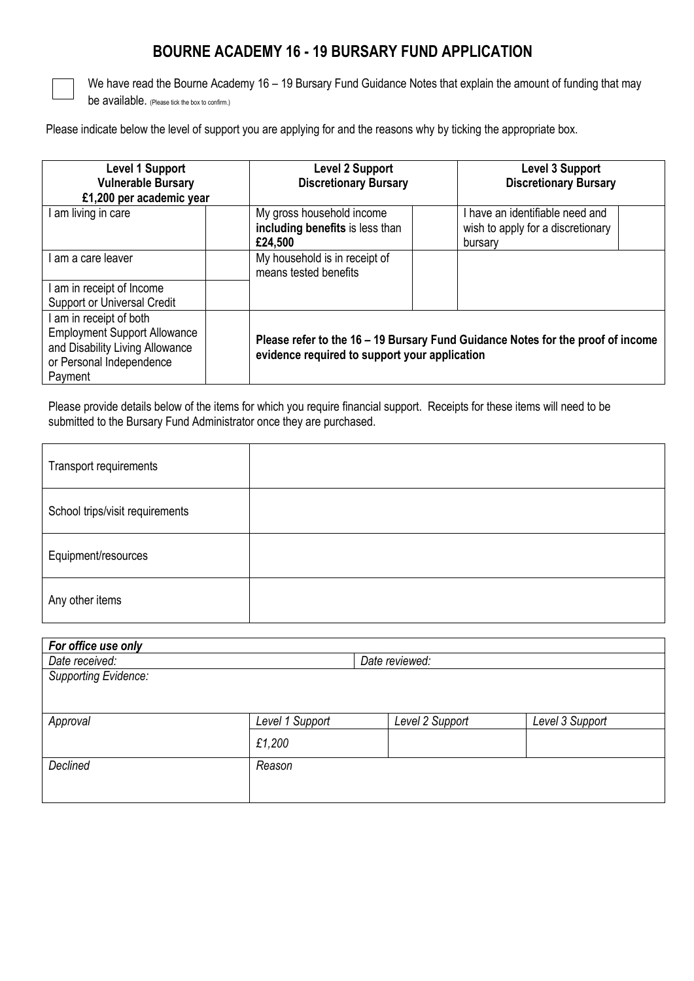#### **BOURNE ACADEMY 16 - 19 BURSARY FUND APPLICATION**



We have read the Bourne Academy 16 – 19 Bursary Fund Guidance Notes that explain the amount of funding that may be available. (Please tick the box to confirm.)

Please indicate below the level of support you are applying for and the reasons why by ticking the appropriate box.

| Level 1 Support<br><b>Vulnerable Bursary</b><br>£1,200 per academic year                                                               | <b>Level 2 Support</b><br><b>Discretionary Bursary</b>                  | Level 3 Support<br><b>Discretionary Bursary</b>                                 |
|----------------------------------------------------------------------------------------------------------------------------------------|-------------------------------------------------------------------------|---------------------------------------------------------------------------------|
| am living in care                                                                                                                      | My gross household income<br>including benefits is less than<br>£24,500 | I have an identifiable need and<br>wish to apply for a discretionary<br>bursary |
| am a care leaver                                                                                                                       | My household is in receipt of<br>means tested benefits                  |                                                                                 |
| am in receipt of Income<br>Support or Universal Credit                                                                                 |                                                                         |                                                                                 |
| am in receipt of both<br><b>Employment Support Allowance</b><br>and Disability Living Allowance<br>or Personal Independence<br>Payment | evidence required to support your application                           | Please refer to the 16 - 19 Bursary Fund Guidance Notes for the proof of income |

Please provide details below of the items for which you require financial support. Receipts for these items will need to be submitted to the Bursary Fund Administrator once they are purchased.

| Transport requirements          |  |
|---------------------------------|--|
| School trips/visit requirements |  |
| Equipment/resources             |  |
| Any other items                 |  |

| For office use only         |                 |                 |                 |
|-----------------------------|-----------------|-----------------|-----------------|
| Date received:              |                 | Date reviewed:  |                 |
| <b>Supporting Evidence:</b> |                 |                 |                 |
|                             |                 |                 |                 |
|                             |                 |                 |                 |
| Approval                    | Level 1 Support | Level 2 Support | Level 3 Support |
|                             | £1,200          |                 |                 |
| Declined                    | Reason          |                 |                 |
|                             |                 |                 |                 |
|                             |                 |                 |                 |